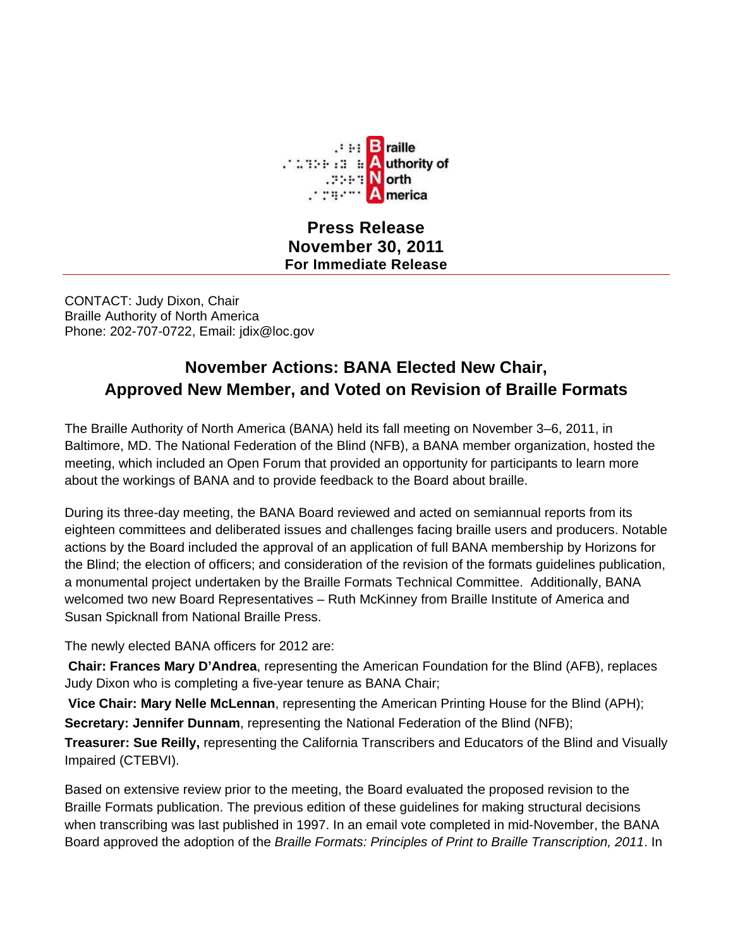

**Press Release November 30, 2011 For Immediate Release**

CONTACT: Judy Dixon, Chair Braille Authority of North America Phone: 202-707-0722, Email: jdix@loc.gov

## **November Actions: BANA Elected New Chair, Approved New Member, and Voted on Revision of Braille Formats**

The Braille Authority of North America (BANA) held its fall meeting on November 3–6, 2011, in Baltimore, MD. The National Federation of the Blind (NFB), a BANA member organization, hosted the meeting, which included an Open Forum that provided an opportunity for participants to learn more about the workings of BANA and to provide feedback to the Board about braille.

During its three-day meeting, the BANA Board reviewed and acted on semiannual reports from its eighteen committees and deliberated issues and challenges facing braille users and producers. Notable actions by the Board included the approval of an application of full BANA membership by Horizons for the Blind; the election of officers; and consideration of the revision of the formats guidelines publication, a monumental project undertaken by the Braille Formats Technical Committee. Additionally, BANA welcomed two new Board Representatives – Ruth McKinney from Braille Institute of America and Susan Spicknall from National Braille Press.

The newly elected BANA officers for 2012 are:

**Chair: Frances Mary D'Andrea**, representing the American Foundation for the Blind (AFB), replaces Judy Dixon who is completing a five-year tenure as BANA Chair;

**Vice Chair: Mary Nelle McLennan**, representing the American Printing House for the Blind (APH); **Secretary: Jennifer Dunnam**, representing the National Federation of the Blind (NFB);

**Treasurer: Sue Reilly,** representing the California Transcribers and Educators of the Blind and Visually Impaired (CTEBVI).

Based on extensive review prior to the meeting, the Board evaluated the proposed revision to the Braille Formats publication. The previous edition of these guidelines for making structural decisions when transcribing was last published in 1997. In an email vote completed in mid-November, the BANA Board approved the adoption of the *Braille Formats: Principles of Print to Braille Transcription, 2011*. In